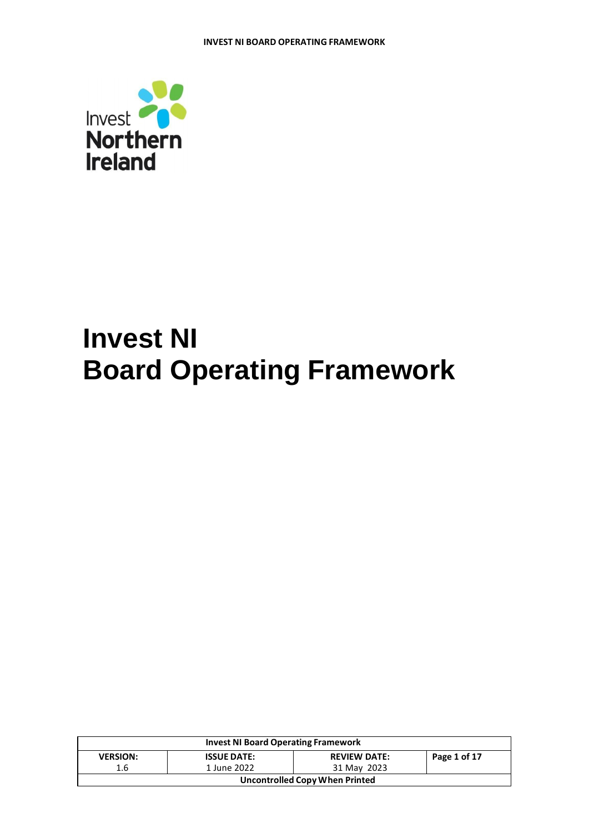

# **Invest NI Board Operating Framework**

| <b>Invest NI Board Operating Framework</b> |                    |                                       |              |  |
|--------------------------------------------|--------------------|---------------------------------------|--------------|--|
| <b>VERSION:</b>                            | <b>ISSUE DATE:</b> | <b>REVIEW DATE:</b>                   | Page 1 of 17 |  |
| 1.6                                        | 1 June 2022        | 31 May 2023                           |              |  |
|                                            |                    | <b>Uncontrolled Copy When Printed</b> |              |  |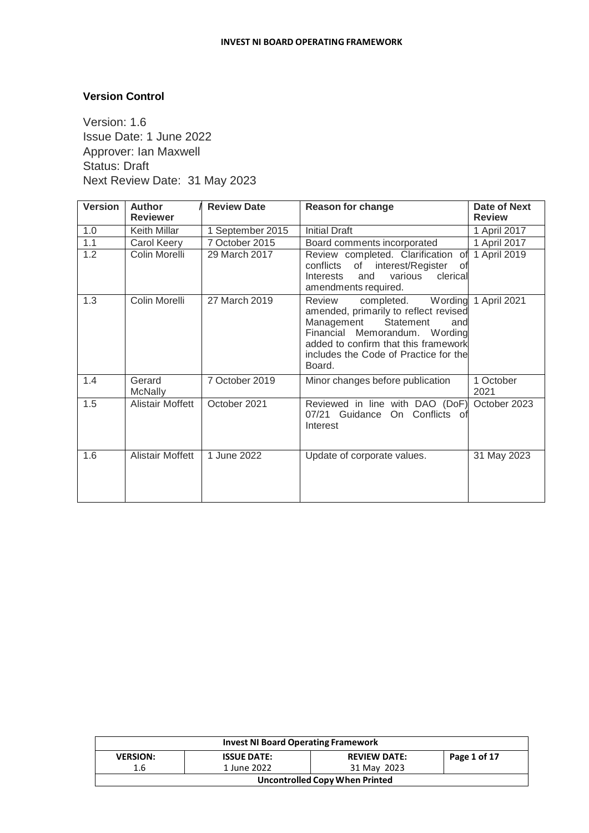# **Version Control**

Version: 1.6 Issue Date: 1 June 2022 Approver: Ian Maxwell Status: Draft Next Review Date: 31 May 2023

| <b>Version</b> | <b>Author</b><br><b>Reviewer</b> | <b>Review Date</b> | <b>Reason for change</b>                                                                                                                                                                                                                         | Date of Next<br><b>Review</b> |
|----------------|----------------------------------|--------------------|--------------------------------------------------------------------------------------------------------------------------------------------------------------------------------------------------------------------------------------------------|-------------------------------|
| 1.0            | Keith Millar                     | 1 September 2015   | <b>Initial Draft</b>                                                                                                                                                                                                                             | 1 April 2017                  |
| 1.1            | Carol Keery                      | 7 October 2015     | Board comments incorporated                                                                                                                                                                                                                      | 1 April 2017                  |
| 1.2            | Colin Morelli                    | 29 March 2017      | Review completed. Clarification of 1 April 2019<br>of interest/Register<br>conflicts<br>οf<br><b>Interests</b><br>various<br>clerical<br>and<br>amendments required.                                                                             |                               |
| 1.3            | Colin Morelli                    | 27 March 2019      | completed. Wording 1 April 2021<br>Review<br>amended, primarily to reflect revised<br>Management<br>Statement<br>and<br>Financial Memorandum. Wording<br>added to confirm that this framework<br>includes the Code of Practice for the<br>Board. |                               |
| 1.4            | Gerard<br><b>McNally</b>         | 7 October 2019     | Minor changes before publication                                                                                                                                                                                                                 | 1 October<br>2021             |
| 1.5            | <b>Alistair Moffett</b>          | October 2021       | Reviewed in line with DAO (DoF)<br>07/21 Guidance On Conflicts of<br>Interest                                                                                                                                                                    | October 2023                  |
| 1.6            | <b>Alistair Moffett</b>          | 1 June 2022        | Update of corporate values.                                                                                                                                                                                                                      | 31 May 2023                   |

| <b>Invest NI Board Operating Framework</b> |                    |                     |              |  |
|--------------------------------------------|--------------------|---------------------|--------------|--|
| <b>VERSION:</b>                            | <b>ISSUE DATE:</b> | <b>REVIEW DATE:</b> | Page 1 of 17 |  |
| 1.6                                        | 1 June 2022        | 31 May 2023         |              |  |
| <b>Uncontrolled Copy When Printed</b>      |                    |                     |              |  |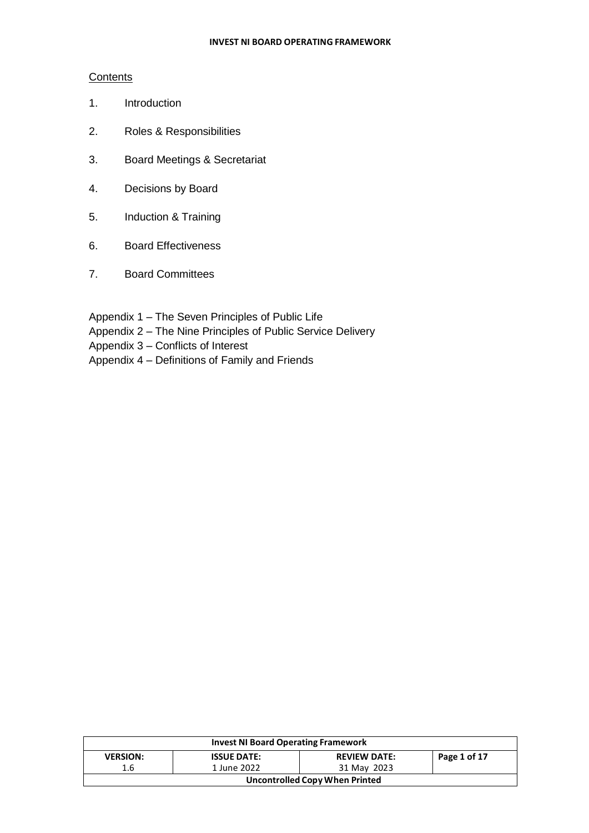#### **Contents**

- 1. Introduction
- 2. Roles & Responsibilities
- 3. Board Meetings & Secretariat
- 4. Decisions by Board
- 5. Induction & Training
- 6. Board Effectiveness
- 7. Board Committees
- Appendix 1 The Seven Principles of Public Life
- Appendix 2 The Nine Principles of Public Service Delivery
- Appendix 3 Conflicts of Interest
- Appendix 4 Definitions of Family and Friends

|                                | <b>Invest NI Board Operating Framework</b> |                     |              |  |  |
|--------------------------------|--------------------------------------------|---------------------|--------------|--|--|
| <b>VERSION:</b>                | <b>ISSUE DATE:</b>                         | <b>REVIEW DATE:</b> | Page 1 of 17 |  |  |
| 1.6                            | 1 June 2022                                | 31 May 2023         |              |  |  |
| Uncontrolled Copy When Printed |                                            |                     |              |  |  |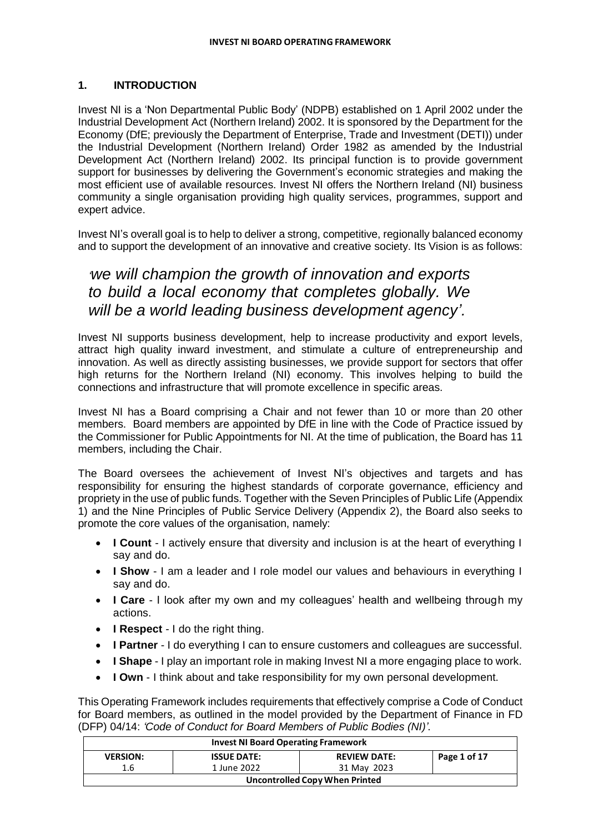# **1. INTRODUCTION**

Invest NI is a 'Non Departmental Public Body' (NDPB) established on 1 April 2002 under the Industrial Development Act (Northern Ireland) 2002. It is sponsored by the Department for the Economy (DfE; previously the Department of Enterprise, Trade and Investment (DETI)) under the Industrial Development (Northern Ireland) Order 1982 as amended by the Industrial Development Act (Northern Ireland) 2002. Its principal function is to provide government support for businesses by delivering the Government's economic strategies and making the most efficient use of available resources. Invest NI offers the Northern Ireland (NI) business community a single organisation providing high quality services, programmes, support and expert advice.

Invest NI's overall goal is to help to deliver a strong, competitive, regionally balanced economy and to support the development of an innovative and creative society. Its Vision is as follows:

# *'we will champion the growth of innovation and exports to build a local economy that completes globally. We will be a world leading business development agency'.*

Invest NI supports business development, help to increase productivity and export levels, attract high quality inward investment, and stimulate a culture of entrepreneurship and innovation. As well as directly assisting businesses, we provide support for sectors that offer high returns for the Northern Ireland (NI) economy. This involves helping to build the connections and infrastructure that will promote excellence in specific areas.

Invest NI has a Board comprising a Chair and not fewer than 10 or more than 20 other members. Board members are appointed by DfE in line with the Code of Practice issued by the Commissioner for Public Appointments for NI. At the time of publication, the Board has 11 members, including the Chair.

The Board oversees the achievement of Invest NI's objectives and targets and has responsibility for ensuring the highest standards of corporate governance, efficiency and propriety in the use of public funds. Together with the Seven Principles of Public Life (Appendix 1) and the Nine Principles of Public Service Delivery (Appendix 2), the Board also seeks to promote the core values of the organisation, namely:

- **I Count** I actively ensure that diversity and inclusion is at the heart of everything I say and do.
- **I Show** I am a leader and I role model our values and behaviours in everything I say and do.
- **I Care** I look after my own and my colleagues' health and wellbeing through my actions.
- **I Respect** I do the right thing.
- **I Partner** I do everything I can to ensure customers and colleagues are successful.
- **I Shape** I play an important role in making Invest NI a more engaging place to work.
- **I Own** I think about and take responsibility for my own personal development.

This Operating Framework includes requirements that effectively comprise a Code of Conduct for Board members, as outlined in the model provided by the Department of Finance in FD (DFP) 04/14: *'Code of Conduct for Board Members of Public Bodies (NI)'*.

| <b>Invest NI Board Operating Framework</b> |                                |                     |              |  |
|--------------------------------------------|--------------------------------|---------------------|--------------|--|
| <b>VERSION:</b>                            | <b>ISSUE DATE:</b>             | <b>REVIEW DATE:</b> | Page 1 of 17 |  |
| 1.6                                        | 1 June 2022                    | 31 May 2023         |              |  |
|                                            | Uncontrolled Copy When Printed |                     |              |  |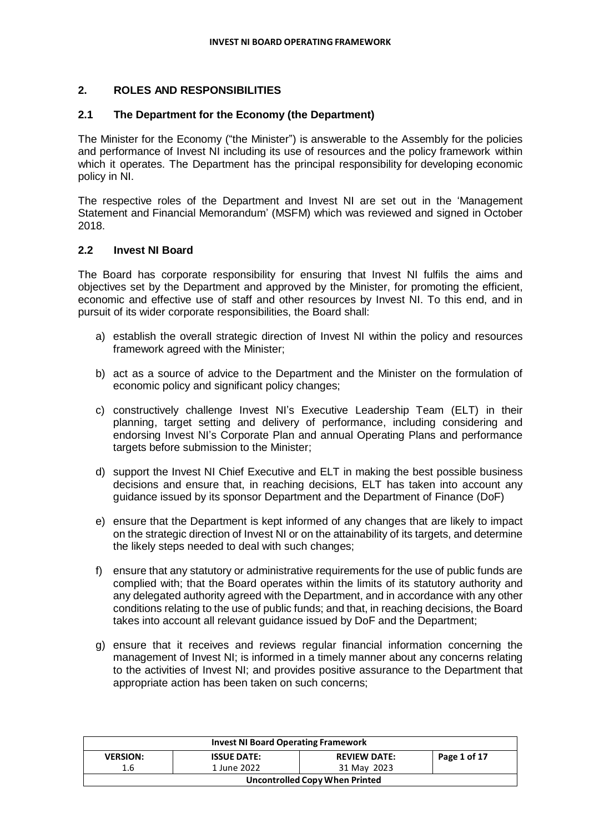# **2. ROLES AND RESPONSIBILITIES**

#### **2.1 The Department for the Economy (the Department)**

The Minister for the Economy ("the Minister") is answerable to the Assembly for the policies and performance of Invest NI including its use of resources and the policy framework within which it operates. The Department has the principal responsibility for developing economic policy in NI.

The respective roles of the Department and Invest NI are set out in the 'Management Statement and Financial Memorandum' (MSFM) which was reviewed and signed in October 2018.

#### **2.2 Invest NI Board**

The Board has corporate responsibility for ensuring that Invest NI fulfils the aims and objectives set by the Department and approved by the Minister, for promoting the efficient, economic and effective use of staff and other resources by Invest NI. To this end, and in pursuit of its wider corporate responsibilities, the Board shall:

- a) establish the overall strategic direction of Invest NI within the policy and resources framework agreed with the Minister;
- b) act as a source of advice to the Department and the Minister on the formulation of economic policy and significant policy changes;
- c) constructively challenge Invest NI's Executive Leadership Team (ELT) in their planning, target setting and delivery of performance, including considering and endorsing Invest NI's Corporate Plan and annual Operating Plans and performance targets before submission to the Minister;
- d) support the Invest NI Chief Executive and ELT in making the best possible business decisions and ensure that, in reaching decisions, ELT has taken into account any guidance issued by its sponsor Department and the Department of Finance (DoF)
- e) ensure that the Department is kept informed of any changes that are likely to impact on the strategic direction of Invest NI or on the attainability of its targets, and determine the likely steps needed to deal with such changes;
- f) ensure that any statutory or administrative requirements for the use of public funds are complied with; that the Board operates within the limits of its statutory authority and any delegated authority agreed with the Department, and in accordance with any other conditions relating to the use of public funds; and that, in reaching decisions, the Board takes into account all relevant guidance issued by DoF and the Department;
- g) ensure that it receives and reviews regular financial information concerning the management of Invest NI; is informed in a timely manner about any concerns relating to the activities of Invest NI; and provides positive assurance to the Department that appropriate action has been taken on such concerns;

| <b>Invest NI Board Operating Framework</b> |                    |                     |              |  |
|--------------------------------------------|--------------------|---------------------|--------------|--|
| <b>VERSION:</b>                            | <b>ISSUE DATE:</b> | <b>REVIEW DATE:</b> | Page 1 of 17 |  |
| 1.6                                        | 1 June 2022        | 31 May 2023         |              |  |
| Uncontrolled Copy When Printed             |                    |                     |              |  |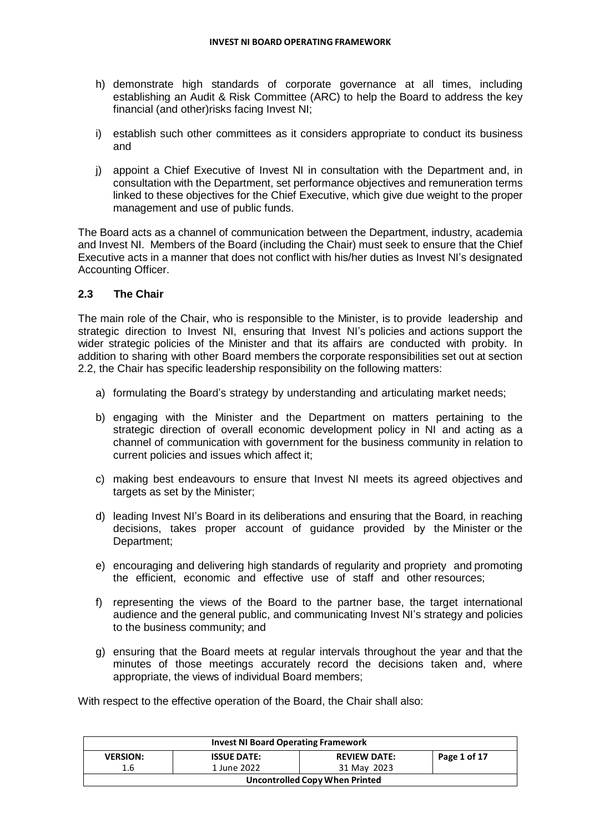- h) demonstrate high standards of corporate governance at all times, including establishing an Audit & Risk Committee (ARC) to help the Board to address the key financial (and other)risks facing Invest NI;
- i) establish such other committees as it considers appropriate to conduct its business and
- j) appoint a Chief Executive of Invest NI in consultation with the Department and, in consultation with the Department, set performance objectives and remuneration terms linked to these objectives for the Chief Executive, which give due weight to the proper management and use of public funds.

The Board acts as a channel of communication between the Department, industry, academia and Invest NI. Members of the Board (including the Chair) must seek to ensure that the Chief Executive acts in a manner that does not conflict with his/her duties as Invest NI's designated Accounting Officer.

#### **2.3 The Chair**

The main role of the Chair, who is responsible to the Minister, is to provide leadership and strategic direction to Invest NI, ensuring that Invest NI's policies and actions support the wider strategic policies of the Minister and that its affairs are conducted with probity. In addition to sharing with other Board members the corporate responsibilities set out at section 2.2, the Chair has specific leadership responsibility on the following matters:

- a) formulating the Board's strategy by understanding and articulating market needs;
- b) engaging with the Minister and the Department on matters pertaining to the strategic direction of overall economic development policy in NI and acting as a channel of communication with government for the business community in relation to current policies and issues which affect it;
- c) making best endeavours to ensure that Invest NI meets its agreed objectives and targets as set by the Minister;
- d) leading Invest NI's Board in its deliberations and ensuring that the Board, in reaching decisions, takes proper account of guidance provided by the Minister or the Department;
- e) encouraging and delivering high standards of regularity and propriety and promoting the efficient, economic and effective use of staff and other resources;
- f) representing the views of the Board to the partner base, the target international audience and the general public, and communicating Invest NI's strategy and policies to the business community; and
- g) ensuring that the Board meets at regular intervals throughout the year and that the minutes of those meetings accurately record the decisions taken and, where appropriate, the views of individual Board members;

With respect to the effective operation of the Board, the Chair shall also:

| <b>Invest NI Board Operating Framework</b>                                   |             |             |  |  |
|------------------------------------------------------------------------------|-------------|-------------|--|--|
| Page 1 of 17<br><b>VERSION:</b><br><b>ISSUE DATE:</b><br><b>REVIEW DATE:</b> |             |             |  |  |
| 1.6                                                                          | 1 June 2022 | 31 May 2023 |  |  |
| Uncontrolled Copy When Printed                                               |             |             |  |  |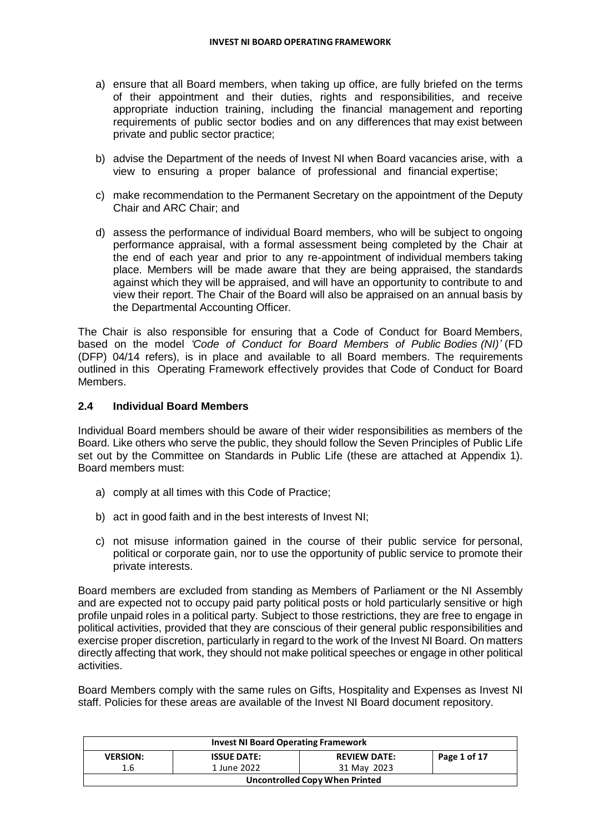- a) ensure that all Board members, when taking up office, are fully briefed on the terms of their appointment and their duties, rights and responsibilities, and receive appropriate induction training, including the financial management and reporting requirements of public sector bodies and on any differences that may exist between private and public sector practice;
- b) advise the Department of the needs of Invest NI when Board vacancies arise, with a view to ensuring a proper balance of professional and financial expertise;
- c) make recommendation to the Permanent Secretary on the appointment of the Deputy Chair and ARC Chair; and
- d) assess the performance of individual Board members, who will be subject to ongoing performance appraisal, with a formal assessment being completed by the Chair at the end of each year and prior to any re-appointment of individual members taking place. Members will be made aware that they are being appraised, the standards against which they will be appraised, and will have an opportunity to contribute to and view their report. The Chair of the Board will also be appraised on an annual basis by the Departmental Accounting Officer.

The Chair is also responsible for ensuring that a Code of Conduct for Board Members, based on the model *'Code of Conduct for Board Members of Public Bodies (NI)'* (FD (DFP) 04/14 refers), is in place and available to all Board members. The requirements outlined in this Operating Framework effectively provides that Code of Conduct for Board Members.

#### **2.4 Individual Board Members**

Individual Board members should be aware of their wider responsibilities as members of the Board. Like others who serve the public, they should follow the Seven Principles of Public Life set out by the Committee on Standards in Public Life (these are attached at Appendix 1). Board members must:

- a) comply at all times with this Code of Practice;
- b) act in good faith and in the best interests of Invest NI;
- c) not misuse information gained in the course of their public service for personal, political or corporate gain, nor to use the opportunity of public service to promote their private interests.

Board members are excluded from standing as Members of Parliament or the NI Assembly and are expected not to occupy paid party political posts or hold particularly sensitive or high profile unpaid roles in a political party. Subject to those restrictions, they are free to engage in political activities, provided that they are conscious of their general public responsibilities and exercise proper discretion, particularly in regard to the work of the Invest NI Board. On matters directly affecting that work, they should not make political speeches or engage in other political activities.

Board Members comply with the same rules on Gifts, Hospitality and Expenses as Invest NI staff. Policies for these areas are available of the Invest NI Board document repository.

| <b>Invest NI Board Operating Framework</b>                                   |                                |             |  |  |
|------------------------------------------------------------------------------|--------------------------------|-------------|--|--|
| Page 1 of 17<br><b>REVIEW DATE:</b><br><b>VERSION:</b><br><b>ISSUE DATE:</b> |                                |             |  |  |
| 1.6                                                                          | 1 June 2022                    | 31 May 2023 |  |  |
|                                                                              | Uncontrolled Copy When Printed |             |  |  |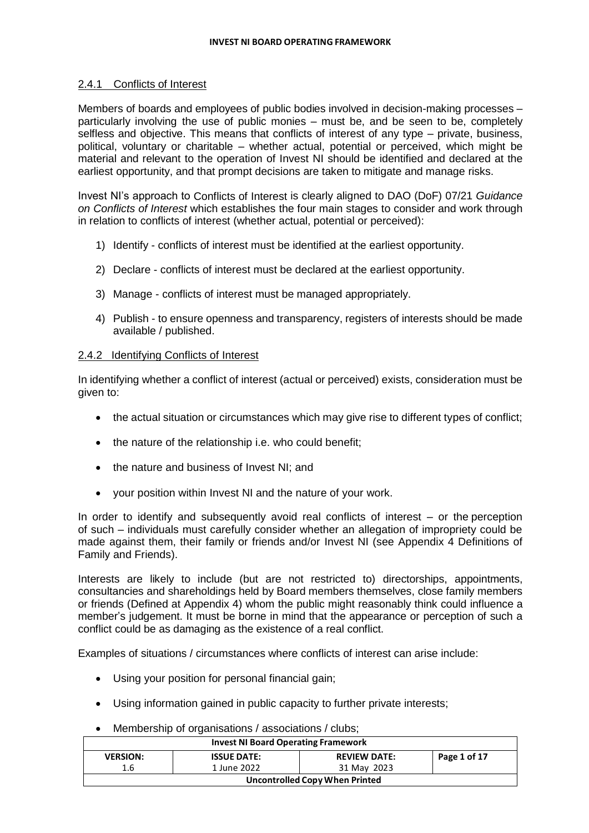#### 2.4.1 Conflicts of Interest

Members of boards and employees of public bodies involved in decision-making processes – particularly involving the use of public monies – must be, and be seen to be, completely selfless and objective. This means that conflicts of interest of any type – private, business, political, voluntary or charitable – whether actual, potential or perceived, which might be material and relevant to the operation of Invest NI should be identified and declared at the earliest opportunity, and that prompt decisions are taken to mitigate and manage risks.

Invest NI's approach to Conflicts of Interest is clearly aligned to DAO (DoF) 07/21 *Guidance on Conflicts of Interest* which establishes the four main stages to consider and work through in relation to conflicts of interest (whether actual, potential or perceived):

- 1) Identify conflicts of interest must be identified at the earliest opportunity.
- 2) Declare conflicts of interest must be declared at the earliest opportunity.
- 3) Manage conflicts of interest must be managed appropriately.
- 4) Publish to ensure openness and transparency, registers of interests should be made available / published.

#### 2.4.2 Identifying Conflicts of Interest

In identifying whether a conflict of interest (actual or perceived) exists, consideration must be given to:

- the actual situation or circumstances which may give rise to different types of conflict;
- the nature of the relationship i.e. who could benefit;
- the nature and business of Invest NI; and
- your position within Invest NI and the nature of your work.

In order to identify and subsequently avoid real conflicts of interest – or the perception of such – individuals must carefully consider whether an allegation of impropriety could be made against them, their family or friends and/or Invest NI (see Appendix 4 Definitions of Family and Friends).

Interests are likely to include (but are not restricted to) directorships, appointments, consultancies and shareholdings held by Board members themselves, close family members or friends (Defined at Appendix 4) whom the public might reasonably think could influence a member's judgement. It must be borne in mind that the appearance or perception of such a conflict could be as damaging as the existence of a real conflict.

Examples of situations / circumstances where conflicts of interest can arise include:

- Using your position for personal financial gain;
- Using information gained in public capacity to further private interests;
- Membership of organisations / associations / clubs;

| <b>Invest NI Board Operating Framework</b> |                    |                     |              |  |
|--------------------------------------------|--------------------|---------------------|--------------|--|
| <b>VERSION:</b>                            | <b>ISSUE DATE:</b> | <b>REVIEW DATE:</b> | Page 1 of 17 |  |
| 1.6                                        | 1 June 2022        | 31 May 2023         |              |  |
| Uncontrolled Copy When Printed             |                    |                     |              |  |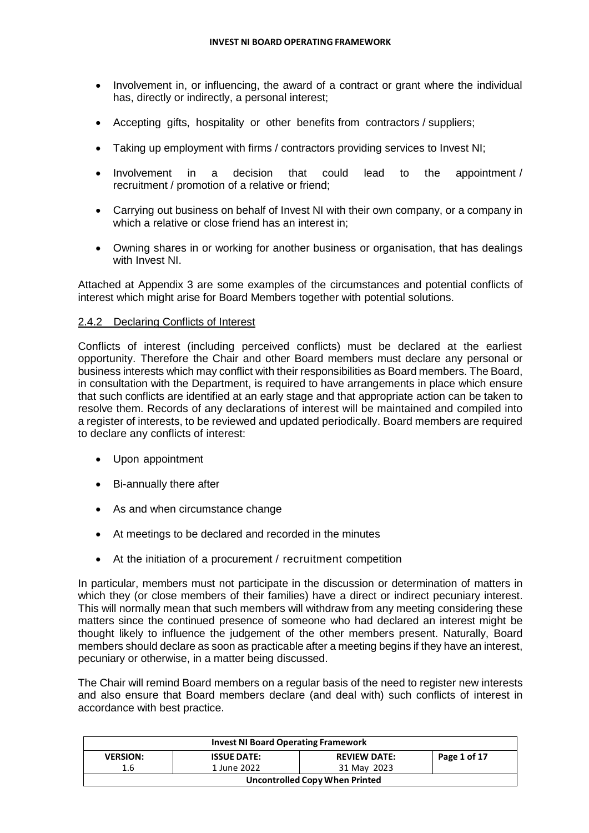- Involvement in, or influencing, the award of a contract or grant where the individual has, directly or indirectly, a personal interest;
- Accepting gifts, hospitality or other benefits from contractors / suppliers;
- Taking up employment with firms / contractors providing services to Invest NI;
- Involvement in a decision that could lead to the appointment / recruitment / promotion of a relative or friend;
- Carrying out business on behalf of Invest NI with their own company, or a company in which a relative or close friend has an interest in;
- Owning shares in or working for another business or organisation, that has dealings with Invest NI.

Attached at Appendix 3 are some examples of the circumstances and potential conflicts of interest which might arise for Board Members together with potential solutions.

#### 2.4.2 Declaring Conflicts of Interest

Conflicts of interest (including perceived conflicts) must be declared at the earliest opportunity. Therefore the Chair and other Board members must declare any personal or business interests which may conflict with their responsibilities as Board members. The Board, in consultation with the Department, is required to have arrangements in place which ensure that such conflicts are identified at an early stage and that appropriate action can be taken to resolve them. Records of any declarations of interest will be maintained and compiled into a register of interests, to be reviewed and updated periodically. Board members are required to declare any conflicts of interest:

- Upon appointment
- Bi-annually there after
- As and when circumstance change
- At meetings to be declared and recorded in the minutes
- At the initiation of a procurement / recruitment competition

In particular, members must not participate in the discussion or determination of matters in which they (or close members of their families) have a direct or indirect pecuniary interest. This will normally mean that such members will withdraw from any meeting considering these matters since the continued presence of someone who had declared an interest might be thought likely to influence the judgement of the other members present. Naturally, Board members should declare as soon as practicable after a meeting begins if they have an interest, pecuniary or otherwise, in a matter being discussed.

The Chair will remind Board members on a regular basis of the need to register new interests and also ensure that Board members declare (and deal with) such conflicts of interest in accordance with best practice.

| <b>Invest NI Board Operating Framework</b> |                    |                     |              |  |
|--------------------------------------------|--------------------|---------------------|--------------|--|
| <b>VERSION:</b>                            | <b>ISSUE DATE:</b> | <b>REVIEW DATE:</b> | Page 1 of 17 |  |
| 1.6                                        | 1 June 2022        | 31 May 2023         |              |  |
| Uncontrolled Copy When Printed             |                    |                     |              |  |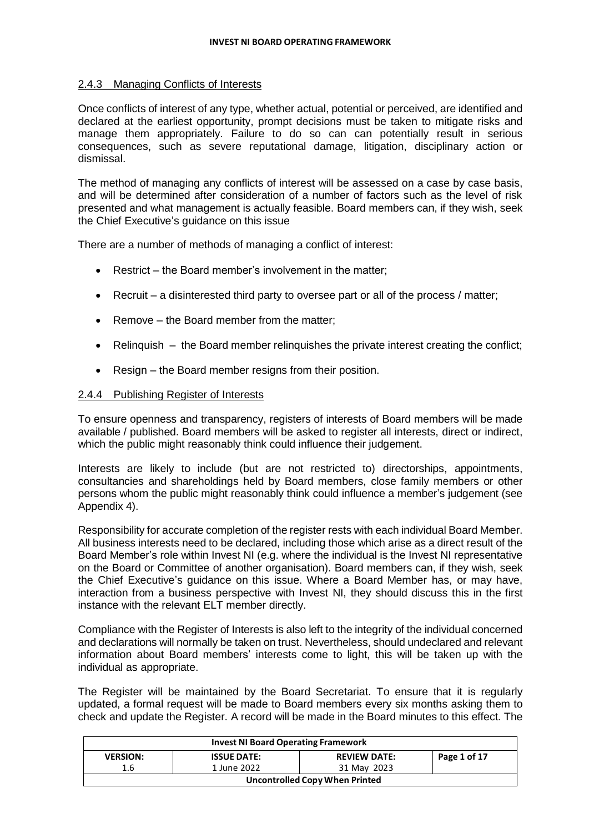#### 2.4.3 Managing Conflicts of Interests

Once conflicts of interest of any type, whether actual, potential or perceived, are identified and declared at the earliest opportunity, prompt decisions must be taken to mitigate risks and manage them appropriately. Failure to do so can can potentially result in serious consequences, such as severe reputational damage, litigation, disciplinary action or dismissal.

The method of managing any conflicts of interest will be assessed on a case by case basis, and will be determined after consideration of a number of factors such as the level of risk presented and what management is actually feasible. Board members can, if they wish, seek the Chief Executive's guidance on this issue

There are a number of methods of managing a conflict of interest:

- Restrict the Board member's involvement in the matter;
- $\bullet$  Recruit a disinterested third party to oversee part or all of the process / matter;
- Remove the Board member from the matter;
- Relinquish the Board member relinquishes the private interest creating the conflict;
- Resign the Board member resigns from their position.

#### 2.4.4 Publishing Register of Interests

To ensure openness and transparency, registers of interests of Board members will be made available / published. Board members will be asked to register all interests, direct or indirect, which the public might reasonably think could influence their judgement.

Interests are likely to include (but are not restricted to) directorships, appointments, consultancies and shareholdings held by Board members, close family members or other persons whom the public might reasonably think could influence a member's judgement (see Appendix 4).

Responsibility for accurate completion of the register rests with each individual Board Member. All business interests need to be declared, including those which arise as a direct result of the Board Member's role within Invest NI (e.g. where the individual is the Invest NI representative on the Board or Committee of another organisation). Board members can, if they wish, seek the Chief Executive's guidance on this issue. Where a Board Member has, or may have, interaction from a business perspective with Invest NI, they should discuss this in the first instance with the relevant ELT member directly.

Compliance with the Register of Interests is also left to the integrity of the individual concerned and declarations will normally be taken on trust. Nevertheless, should undeclared and relevant information about Board members' interests come to light, this will be taken up with the individual as appropriate.

The Register will be maintained by the Board Secretariat. To ensure that it is regularly updated, a formal request will be made to Board members every six months asking them to check and update the Register. A record will be made in the Board minutes to this effect. The

|                 | <b>Invest NI Board Operating Framework</b> |                     |              |  |  |
|-----------------|--------------------------------------------|---------------------|--------------|--|--|
| <b>VERSION:</b> | <b>ISSUE DATE:</b>                         | <b>REVIEW DATE:</b> | Page 1 of 17 |  |  |
| 1.6             | 1 June 2022                                | 31 May 2023         |              |  |  |
|                 | <b>Uncontrolled Copy When Printed</b>      |                     |              |  |  |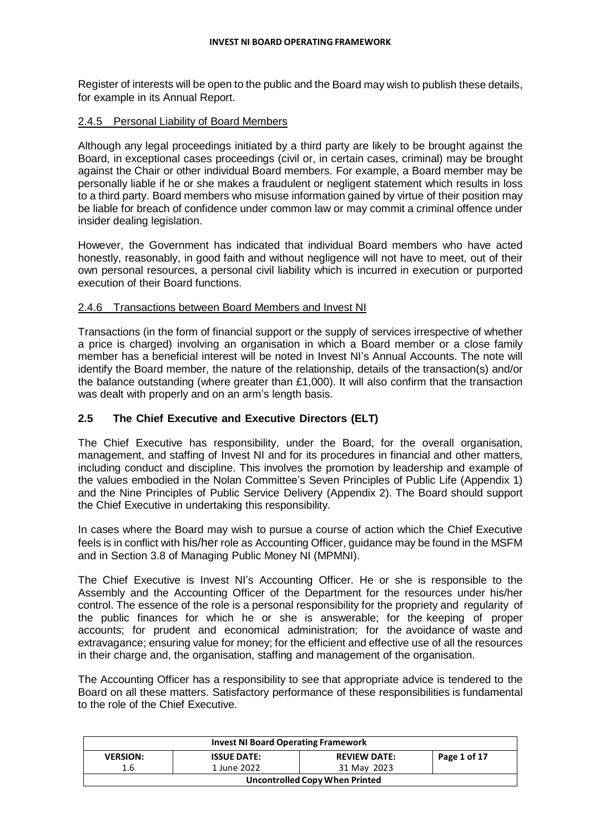Register of interests will be open to the public and the Board may wish to publish these details, for example in its Annual Report.

#### 2.4.5 Personal Liability of Board Members

Although any legal proceedings initiated by a third party are likely to be brought against the Board, in exceptional cases proceedings (civil or, in certain cases, criminal) may be brought against the Chair or other individual Board members. For example, a Board member may be personally liable if he or she makes a fraudulent or negligent statement which results in loss to a third party. Board members who misuse information gained by virtue of their position may be liable for breach of confidence under common law or may commit a criminal offence under insider dealing legislation.

However, the Government has indicated that individual Board members who have acted honestly, reasonably, in good faith and without negligence will not have to meet, out of their own personal resources, a personal civil liability which is incurred in execution or purported execution of their Board functions.

# 2.4.6 Transactions between Board Members and Invest NI

Transactions (in the form of financial support or the supply of services irrespective of whether a price is charged) involving an organisation in which a Board member or a close family member has a beneficial interest will be noted in Invest NI's Annual Accounts. The note will identify the Board member, the nature of the relationship, details of the transaction(s) and/or the balance outstanding (where greater than £1,000). It will also confirm that the transaction was dealt with properly and on an arm's length basis.

# **2.5 The Chief Executive and Executive Directors (ELT)**

The Chief Executive has responsibility, under the Board, for the overall organisation, management, and staffing of Invest NI and for its procedures in financial and other matters, including conduct and discipline. This involves the promotion by leadership and example of the values embodied in the Nolan Committee's Seven Principles of Public Life (Appendix 1) and the Nine Principles of Public Service Delivery (Appendix 2). The Board should support the Chief Executive in undertaking this responsibility.

In cases where the Board may wish to pursue a course of action which the Chief Executive feels is in conflict with his/her role as Accounting Officer, guidance may be found in the MSFM and in Section 3.8 of Managing Public Money NI (MPMNI).

The Chief Executive is Invest NI's Accounting Officer. He or she is responsible to the Assembly and the Accounting Officer of the Department for the resources under his/her control. The essence of the role is a personal responsibility for the propriety and regularity of the public finances for which he or she is answerable; for the keeping of proper accounts; for prudent and economical administration; for the avoidance of waste and extravagance; ensuring value for money; for the efficient and effective use of all the resources in their charge and, the organisation, staffing and management of the organisation.

The Accounting Officer has a responsibility to see that appropriate advice is tendered to the Board on all these matters. Satisfactory performance of these responsibilities is fundamental to the role of the Chief Executive.

| <b>Invest NI Board Operating Framework</b>                                   |                                |             |  |  |
|------------------------------------------------------------------------------|--------------------------------|-------------|--|--|
| Page 1 of 17<br><b>VERSION:</b><br><b>ISSUE DATE:</b><br><b>REVIEW DATE:</b> |                                |             |  |  |
| 1.6                                                                          | 1 June 2022                    | 31 May 2023 |  |  |
|                                                                              | Uncontrolled Copy When Printed |             |  |  |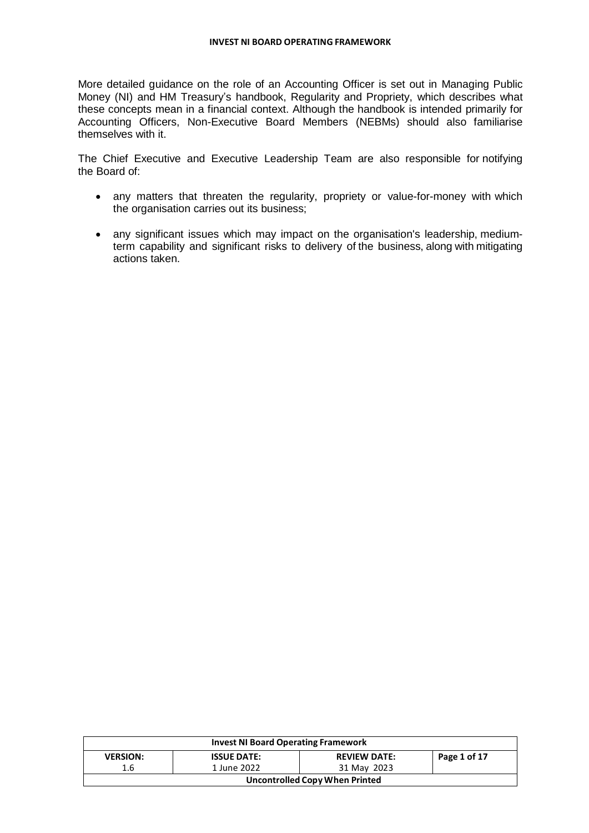More detailed guidance on the role of an Accounting Officer is set out in Managing Public Money (NI) and HM Treasury's handbook, Regularity and Propriety, which describes what these concepts mean in a financial context. Although the handbook is intended primarily for Accounting Officers, Non-Executive Board Members (NEBMs) should also familiarise themselves with it.

The Chief Executive and Executive Leadership Team are also responsible for notifying the Board of:

- any matters that threaten the regularity, propriety or value-for-money with which the organisation carries out its business;
- any significant issues which may impact on the organisation's leadership, mediumterm capability and significant risks to delivery of the business, along with mitigating actions taken.

| <b>Invest NI Board Operating Framework</b> |                    |                     |              |
|--------------------------------------------|--------------------|---------------------|--------------|
| <b>VERSION:</b>                            | <b>ISSUE DATE:</b> | <b>REVIEW DATE:</b> | Page 1 of 17 |
| 1.6                                        | 1 June 2022        | 31 May 2023         |              |
| <b>Uncontrolled Copy When Printed</b>      |                    |                     |              |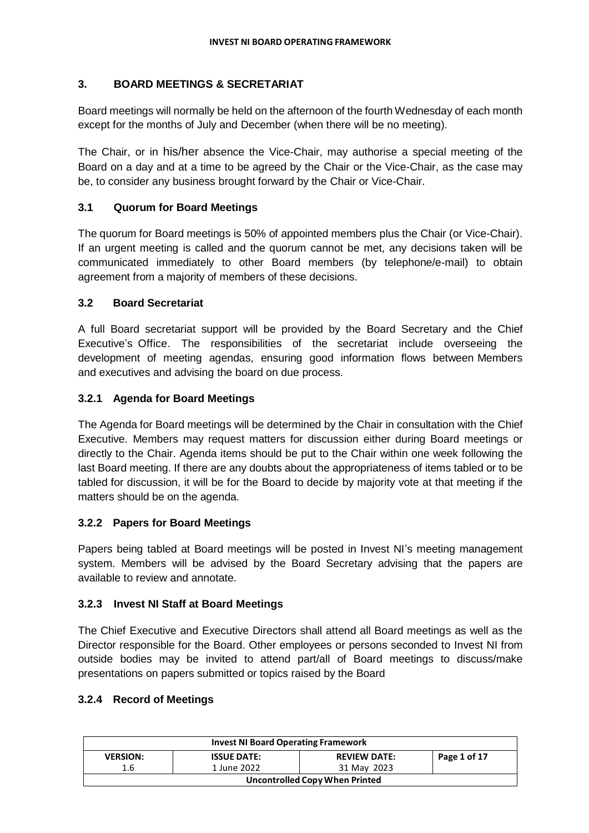# **3. BOARD MEETINGS & SECRETARIAT**

Board meetings will normally be held on the afternoon of the fourth Wednesday of each month except for the months of July and December (when there will be no meeting).

The Chair, or in his/her absence the Vice-Chair, may authorise a special meeting of the Board on a day and at a time to be agreed by the Chair or the Vice-Chair, as the case may be, to consider any business brought forward by the Chair or Vice-Chair.

# **3.1 Quorum for Board Meetings**

The quorum for Board meetings is 50% of appointed members plus the Chair (or Vice-Chair). If an urgent meeting is called and the quorum cannot be met, any decisions taken will be communicated immediately to other Board members (by telephone/e-mail) to obtain agreement from a majority of members of these decisions.

# **3.2 Board Secretariat**

A full Board secretariat support will be provided by the Board Secretary and the Chief Executive's Office. The responsibilities of the secretariat include overseeing the development of meeting agendas, ensuring good information flows between Members and executives and advising the board on due process.

# **3.2.1 Agenda for Board Meetings**

The Agenda for Board meetings will be determined by the Chair in consultation with the Chief Executive. Members may request matters for discussion either during Board meetings or directly to the Chair. Agenda items should be put to the Chair within one week following the last Board meeting. If there are any doubts about the appropriateness of items tabled or to be tabled for discussion, it will be for the Board to decide by majority vote at that meeting if the matters should be on the agenda.

# **3.2.2 Papers for Board Meetings**

Papers being tabled at Board meetings will be posted in Invest NI's meeting management system. Members will be advised by the Board Secretary advising that the papers are available to review and annotate.

# **3.2.3 Invest NI Staff at Board Meetings**

The Chief Executive and Executive Directors shall attend all Board meetings as well as the Director responsible for the Board. Other employees or persons seconded to Invest NI from outside bodies may be invited to attend part/all of Board meetings to discuss/make presentations on papers submitted or topics raised by the Board

# **3.2.4 Record of Meetings**

| <b>Invest NI Board Operating Framework</b>                                   |             |             |  |  |
|------------------------------------------------------------------------------|-------------|-------------|--|--|
| Page 1 of 17<br><b>ISSUE DATE:</b><br><b>REVIEW DATE:</b><br><b>VERSION:</b> |             |             |  |  |
| 1.6                                                                          | 1 June 2022 | 31 May 2023 |  |  |
| Uncontrolled Copy When Printed                                               |             |             |  |  |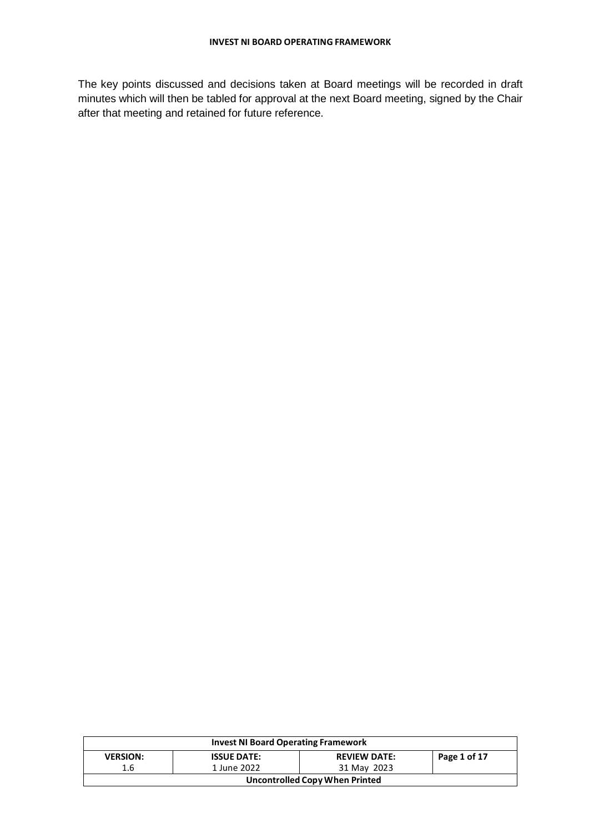The key points discussed and decisions taken at Board meetings will be recorded in draft minutes which will then be tabled for approval at the next Board meeting, signed by the Chair after that meeting and retained for future reference.

| <b>Invest NI Board Operating Framework</b> |                    |                     |              |
|--------------------------------------------|--------------------|---------------------|--------------|
| <b>VERSION:</b>                            | <b>ISSUE DATE:</b> | <b>REVIEW DATE:</b> | Page 1 of 17 |
| 1.6                                        | 1 June 2022        | 31 May 2023         |              |
| Uncontrolled Copy When Printed             |                    |                     |              |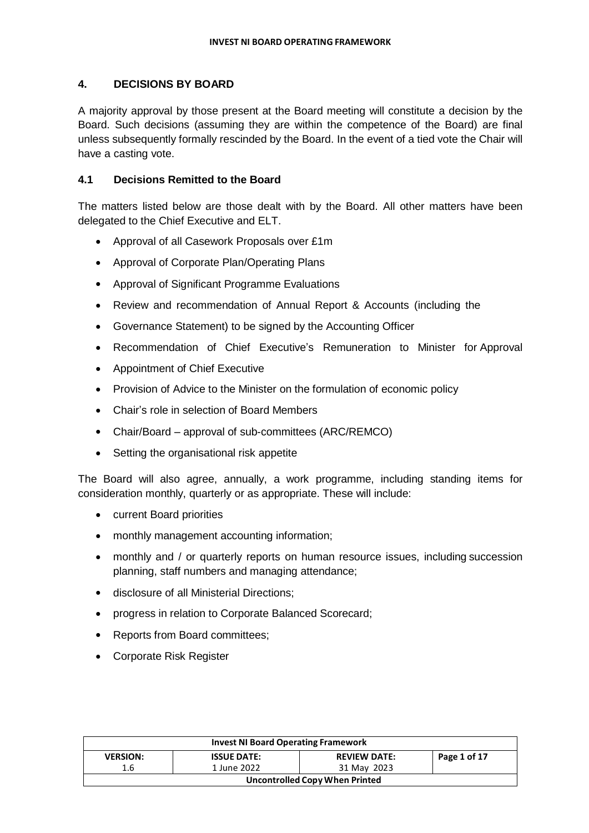# **4. DECISIONS BY BOARD**

A majority approval by those present at the Board meeting will constitute a decision by the Board. Such decisions (assuming they are within the competence of the Board) are final unless subsequently formally rescinded by the Board. In the event of a tied vote the Chair will have a casting vote.

# **4.1 Decisions Remitted to the Board**

The matters listed below are those dealt with by the Board. All other matters have been delegated to the Chief Executive and ELT.

- Approval of all Casework Proposals over £1m
- Approval of Corporate Plan/Operating Plans
- Approval of Significant Programme Evaluations
- Review and recommendation of Annual Report & Accounts (including the
- Governance Statement) to be signed by the Accounting Officer
- Recommendation of Chief Executive's Remuneration to Minister for Approval
- Appointment of Chief Executive
- Provision of Advice to the Minister on the formulation of economic policy
- Chair's role in selection of Board Members
- Chair/Board approval of sub-committees (ARC/REMCO)
- Setting the organisational risk appetite

The Board will also agree, annually, a work programme, including standing items for consideration monthly, quarterly or as appropriate. These will include:

- current Board priorities
- monthly management accounting information;
- monthly and / or quarterly reports on human resource issues, including succession planning, staff numbers and managing attendance;
- disclosure of all Ministerial Directions;
- progress in relation to Corporate Balanced Scorecard;
- Reports from Board committees;
- Corporate Risk Register

| <b>Invest NI Board Operating Framework</b> |                    |                     |              |
|--------------------------------------------|--------------------|---------------------|--------------|
| <b>VERSION:</b>                            | <b>ISSUE DATE:</b> | <b>REVIEW DATE:</b> | Page 1 of 17 |
| 1.6                                        | 1 June 2022        | 31 May 2023         |              |
| Uncontrolled Copy When Printed             |                    |                     |              |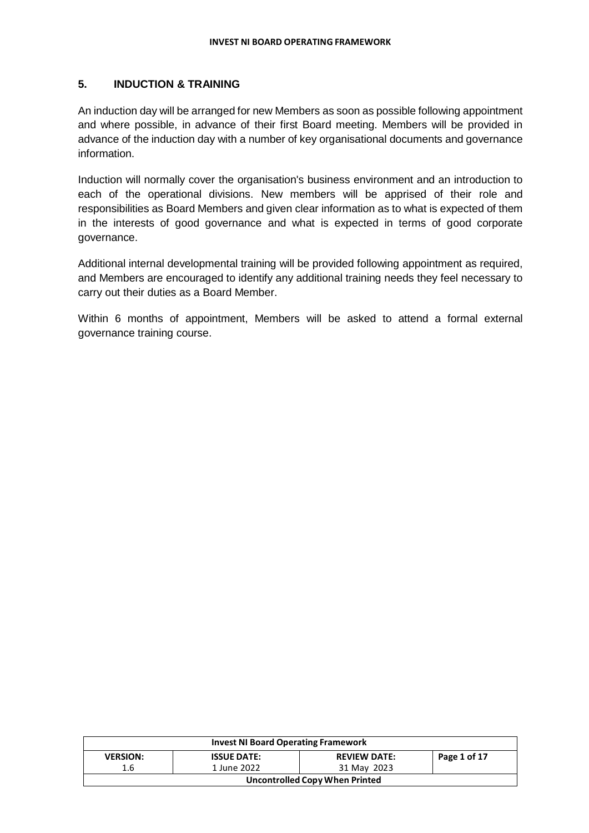# **5. INDUCTION & TRAINING**

An induction day will be arranged for new Members as soon as possible following appointment and where possible, in advance of their first Board meeting. Members will be provided in advance of the induction day with a number of key organisational documents and governance information.

Induction will normally cover the organisation's business environment and an introduction to each of the operational divisions. New members will be apprised of their role and responsibilities as Board Members and given clear information as to what is expected of them in the interests of good governance and what is expected in terms of good corporate governance.

Additional internal developmental training will be provided following appointment as required, and Members are encouraged to identify any additional training needs they feel necessary to carry out their duties as a Board Member.

Within 6 months of appointment, Members will be asked to attend a formal external governance training course.

| <b>Invest NI Board Operating Framework</b> |                    |                     |              |
|--------------------------------------------|--------------------|---------------------|--------------|
| <b>VERSION:</b>                            | <b>ISSUE DATE:</b> | <b>REVIEW DATE:</b> | Page 1 of 17 |
| 1.6                                        | 1 June 2022        | 31 May 2023         |              |
| Uncontrolled Copy When Printed             |                    |                     |              |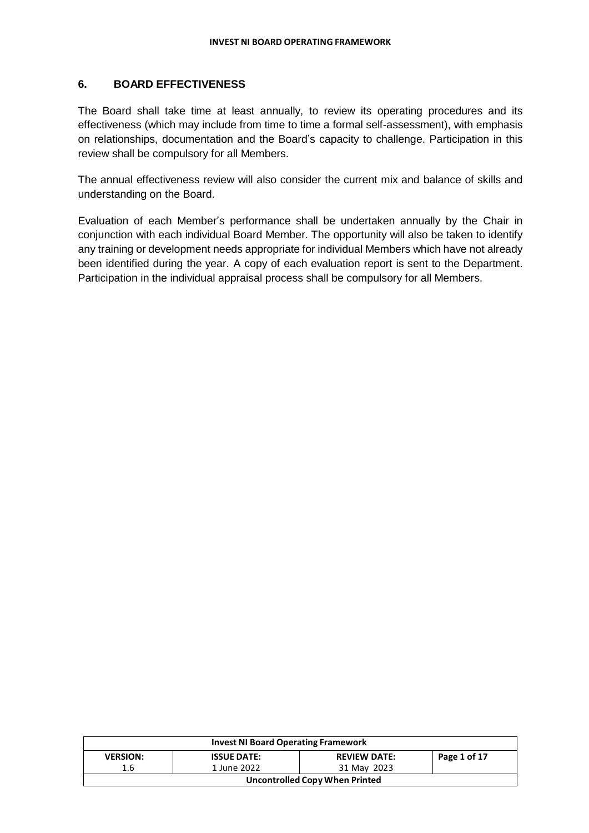# **6. BOARD EFFECTIVENESS**

The Board shall take time at least annually, to review its operating procedures and its effectiveness (which may include from time to time a formal self-assessment), with emphasis on relationships, documentation and the Board's capacity to challenge. Participation in this review shall be compulsory for all Members.

The annual effectiveness review will also consider the current mix and balance of skills and understanding on the Board.

Evaluation of each Member's performance shall be undertaken annually by the Chair in conjunction with each individual Board Member. The opportunity will also be taken to identify any training or development needs appropriate for individual Members which have not already been identified during the year. A copy of each evaluation report is sent to the Department. Participation in the individual appraisal process shall be compulsory for all Members.

| <b>Invest NI Board Operating Framework</b> |                    |                     |              |
|--------------------------------------------|--------------------|---------------------|--------------|
| <b>VERSION:</b>                            | <b>ISSUE DATE:</b> | <b>REVIEW DATE:</b> | Page 1 of 17 |
| 1.6                                        | 1 June 2022        | 31 May 2023         |              |
| <b>Uncontrolled Copy When Printed</b>      |                    |                     |              |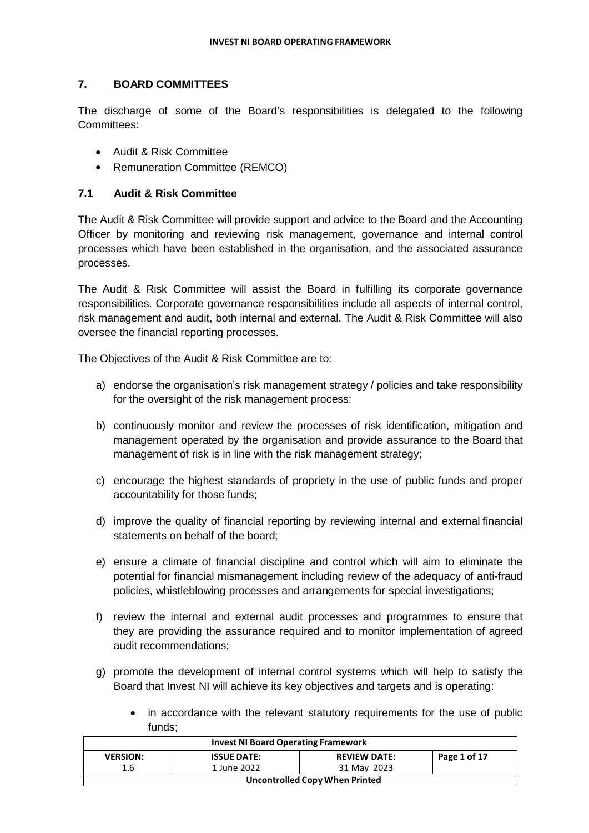# **7. BOARD COMMITTEES**

The discharge of some of the Board's responsibilities is delegated to the following Committees:

- Audit & Risk Committee
- Remuneration Committee (REMCO)

# **7.1 Audit & Risk Committee**

The Audit & Risk Committee will provide support and advice to the Board and the Accounting Officer by monitoring and reviewing risk management, governance and internal control processes which have been established in the organisation, and the associated assurance processes.

The Audit & Risk Committee will assist the Board in fulfilling its corporate governance responsibilities. Corporate governance responsibilities include all aspects of internal control, risk management and audit, both internal and external. The Audit & Risk Committee will also oversee the financial reporting processes.

The Objectives of the Audit & Risk Committee are to:

- a) endorse the organisation's risk management strategy / policies and take responsibility for the oversight of the risk management process;
- b) continuously monitor and review the processes of risk identification, mitigation and management operated by the organisation and provide assurance to the Board that management of risk is in line with the risk management strategy;
- c) encourage the highest standards of propriety in the use of public funds and proper accountability for those funds;
- d) improve the quality of financial reporting by reviewing internal and external financial statements on behalf of the board;
- e) ensure a climate of financial discipline and control which will aim to eliminate the potential for financial mismanagement including review of the adequacy of anti-fraud policies, whistleblowing processes and arrangements for special investigations;
- f) review the internal and external audit processes and programmes to ensure that they are providing the assurance required and to monitor implementation of agreed audit recommendations;
- g) promote the development of internal control systems which will help to satisfy the Board that Invest NI will achieve its key objectives and targets and is operating:
	- in accordance with the relevant statutory requirements for the use of public funds;

| <b>Invest NI Board Operating Framework</b> |                    |                     |              |
|--------------------------------------------|--------------------|---------------------|--------------|
| <b>VERSION:</b>                            | <b>ISSUE DATE:</b> | <b>REVIEW DATE:</b> | Page 1 of 17 |
| 1.6                                        | 1 June 2022        | 31 May 2023         |              |
| Uncontrolled Copy When Printed             |                    |                     |              |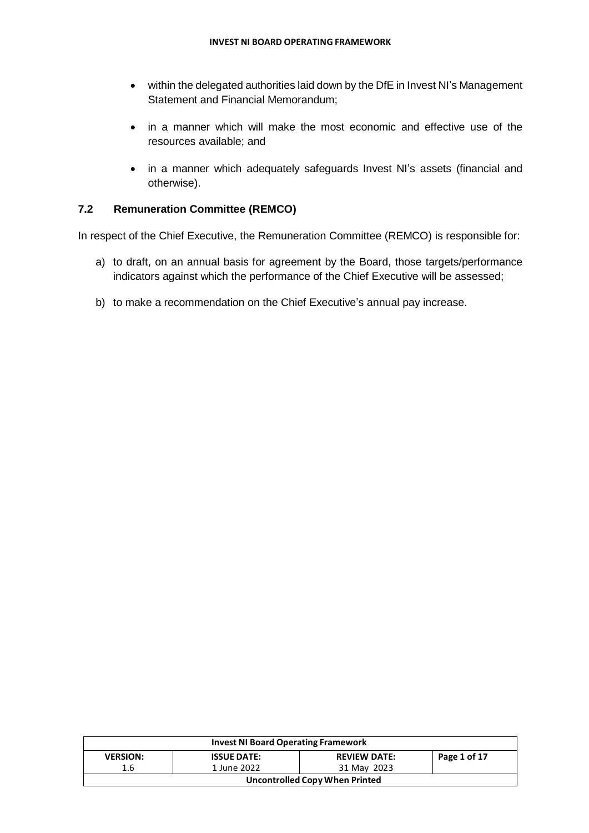- within the delegated authorities laid down by the DfE in Invest NI's Management Statement and Financial Memorandum;
- in a manner which will make the most economic and effective use of the resources available; and
- in a manner which adequately safeguards Invest NI's assets (financial and otherwise).

# **7.2 Remuneration Committee (REMCO)**

In respect of the Chief Executive, the Remuneration Committee (REMCO) is responsible for:

- a) to draft, on an annual basis for agreement by the Board, those targets/performance indicators against which the performance of the Chief Executive will be assessed;
- b) to make a recommendation on the Chief Executive's annual pay increase.

| <b>Invest NI Board Operating Framework</b> |                    |                     |              |  |
|--------------------------------------------|--------------------|---------------------|--------------|--|
| <b>VERSION:</b>                            | <b>ISSUE DATE:</b> | <b>REVIEW DATE:</b> | Page 1 of 17 |  |
| 1.6                                        | 1 June 2022        | 31 May 2023         |              |  |
| Uncontrolled Copy When Printed             |                    |                     |              |  |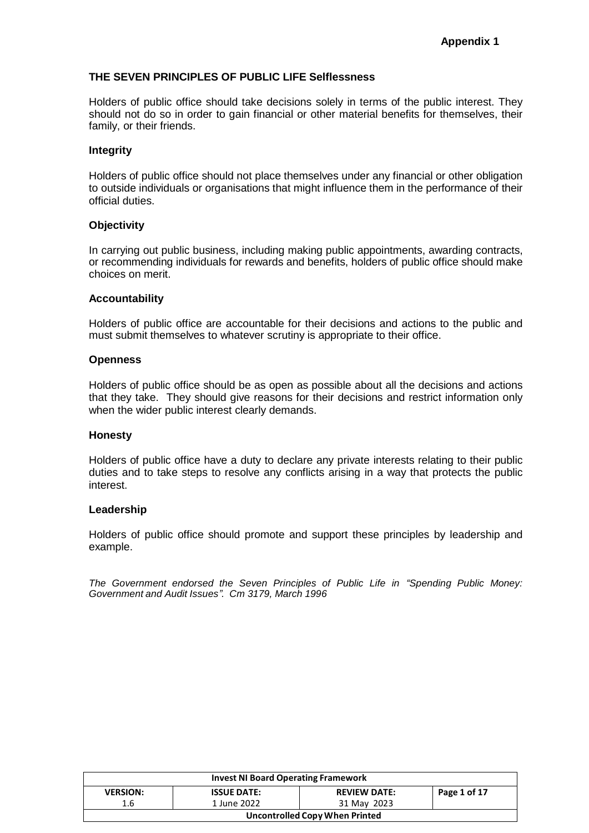#### **THE SEVEN PRINCIPLES OF PUBLIC LIFE Selflessness**

Holders of public office should take decisions solely in terms of the public interest. They should not do so in order to gain financial or other material benefits for themselves, their family, or their friends.

#### **Integrity**

Holders of public office should not place themselves under any financial or other obligation to outside individuals or organisations that might influence them in the performance of their official duties.

#### **Objectivity**

In carrying out public business, including making public appointments, awarding contracts, or recommending individuals for rewards and benefits, holders of public office should make choices on merit.

#### **Accountability**

Holders of public office are accountable for their decisions and actions to the public and must submit themselves to whatever scrutiny is appropriate to their office.

#### **Openness**

Holders of public office should be as open as possible about all the decisions and actions that they take. They should give reasons for their decisions and restrict information only when the wider public interest clearly demands.

#### **Honesty**

Holders of public office have a duty to declare any private interests relating to their public duties and to take steps to resolve any conflicts arising in a way that protects the public interest.

#### **Leadership**

Holders of public office should promote and support these principles by leadership and example.

*The Government endorsed the Seven Principles of Public Life in "Spending Public Money: Government and Audit Issues". Cm 3179, March 1996*

| <b>Invest NI Board Operating Framework</b> |                    |                     |              |  |
|--------------------------------------------|--------------------|---------------------|--------------|--|
| <b>VERSION:</b>                            | <b>ISSUE DATE:</b> | <b>REVIEW DATE:</b> | Page 1 of 17 |  |
| 1.6                                        | 1 June 2022        | 31 May 2023         |              |  |
| Uncontrolled Copy When Printed             |                    |                     |              |  |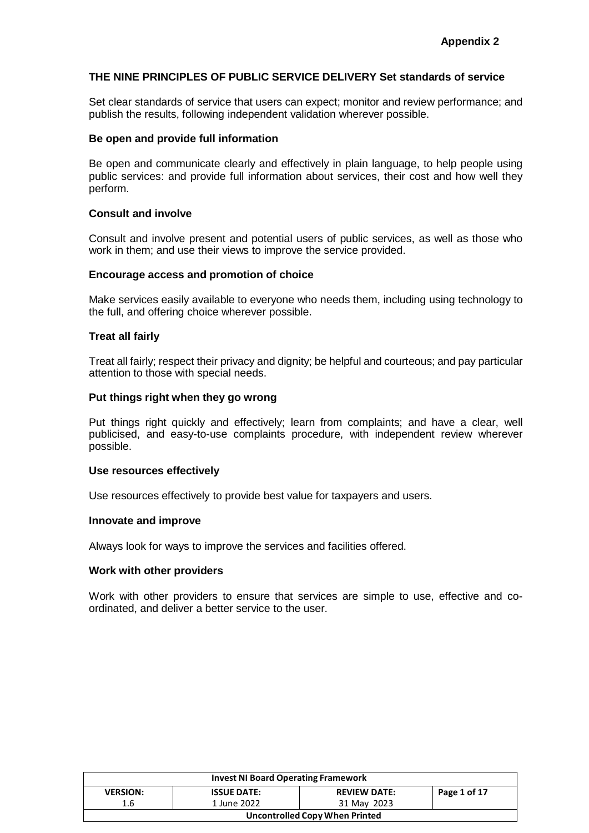#### **THE NINE PRINCIPLES OF PUBLIC SERVICE DELIVERY Set standards of service**

Set clear standards of service that users can expect; monitor and review performance; and publish the results, following independent validation wherever possible.

#### **Be open and provide full information**

Be open and communicate clearly and effectively in plain language, to help people using public services: and provide full information about services, their cost and how well they perform.

#### **Consult and involve**

Consult and involve present and potential users of public services, as well as those who work in them; and use their views to improve the service provided.

#### **Encourage access and promotion of choice**

Make services easily available to everyone who needs them, including using technology to the full, and offering choice wherever possible.

#### **Treat all fairly**

Treat all fairly; respect their privacy and dignity; be helpful and courteous; and pay particular attention to those with special needs.

#### **Put things right when they go wrong**

Put things right quickly and effectively; learn from complaints; and have a clear, well publicised, and easy-to-use complaints procedure, with independent review wherever possible.

#### **Use resources effectively**

Use resources effectively to provide best value for taxpayers and users.

#### **Innovate and improve**

Always look for ways to improve the services and facilities offered.

#### **Work with other providers**

Work with other providers to ensure that services are simple to use, effective and coordinated, and deliver a better service to the user.

| <b>Invest NI Board Operating Framework</b> |                    |                     |              |
|--------------------------------------------|--------------------|---------------------|--------------|
| <b>VERSION:</b>                            | <b>ISSUE DATE:</b> | <b>REVIEW DATE:</b> | Page 1 of 17 |
| 1.6                                        | 1 June 2022        | 31 May 2023         |              |
| Uncontrolled Copy When Printed             |                    |                     |              |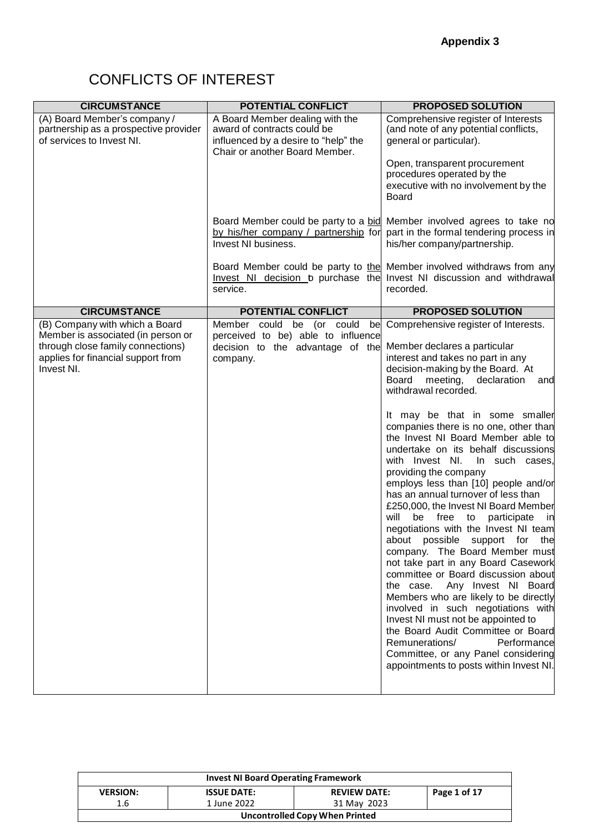# CONFLICTS OF INTEREST

| <b>CIRCUMSTANCE</b>                                                                                                                                           | <b>POTENTIAL CONFLICT</b>                                                                                                                | <b>PROPOSED SOLUTION</b>                                                                                                                                                                                                                                                                                                                                                                                                                                                                                                                                                                                                                                                                                                                                                                                                                                                                                                                                                                                                                                                                                       |
|---------------------------------------------------------------------------------------------------------------------------------------------------------------|------------------------------------------------------------------------------------------------------------------------------------------|----------------------------------------------------------------------------------------------------------------------------------------------------------------------------------------------------------------------------------------------------------------------------------------------------------------------------------------------------------------------------------------------------------------------------------------------------------------------------------------------------------------------------------------------------------------------------------------------------------------------------------------------------------------------------------------------------------------------------------------------------------------------------------------------------------------------------------------------------------------------------------------------------------------------------------------------------------------------------------------------------------------------------------------------------------------------------------------------------------------|
| (A) Board Member's company /<br>partnership as a prospective provider<br>of services to Invest NI.                                                            | A Board Member dealing with the<br>award of contracts could be<br>influenced by a desire to "help" the<br>Chair or another Board Member. | Comprehensive register of Interests<br>(and note of any potential conflicts,<br>general or particular).                                                                                                                                                                                                                                                                                                                                                                                                                                                                                                                                                                                                                                                                                                                                                                                                                                                                                                                                                                                                        |
|                                                                                                                                                               |                                                                                                                                          | Open, transparent procurement<br>procedures operated by the<br>executive with no involvement by the<br>Board                                                                                                                                                                                                                                                                                                                                                                                                                                                                                                                                                                                                                                                                                                                                                                                                                                                                                                                                                                                                   |
|                                                                                                                                                               | Board Member could be party to a bid<br>by his/her company / partnership for<br>Invest NI business.                                      | Member involved agrees to take no<br>part in the formal tendering process in<br>his/her company/partnership.                                                                                                                                                                                                                                                                                                                                                                                                                                                                                                                                                                                                                                                                                                                                                                                                                                                                                                                                                                                                   |
|                                                                                                                                                               | service.                                                                                                                                 | Board Member could be party to the Member involved withdraws from any<br>Invest NI decision b purchase the Invest NI discussion and withdrawal<br>recorded.                                                                                                                                                                                                                                                                                                                                                                                                                                                                                                                                                                                                                                                                                                                                                                                                                                                                                                                                                    |
| <b>CIRCUMSTANCE</b>                                                                                                                                           | POTENTIAL CONFLICT                                                                                                                       | <b>PROPOSED SOLUTION</b>                                                                                                                                                                                                                                                                                                                                                                                                                                                                                                                                                                                                                                                                                                                                                                                                                                                                                                                                                                                                                                                                                       |
| (B) Company with which a Board<br>Member is associated (in person or<br>through close family connections)<br>applies for financial support from<br>Invest NI. | Member could be (or could<br>bel<br>perceived to be) able to influence<br>decision to the advantage of the<br>company.                   | Comprehensive register of Interests.<br>Member declares a particular<br>interest and takes no part in any<br>decision-making by the Board. At<br>Board<br>meeting, declaration<br>and<br>withdrawal recorded.<br>It may be that in some smaller<br>companies there is no one, other than<br>the Invest NI Board Member able to<br>undertake on its behalf discussions<br>with Invest NI.<br>In such cases,<br>providing the company<br>employs less than [10] people and/or<br>has an annual turnover of less than<br>£250,000, the Invest NI Board Member<br>be free to<br>will<br>participate<br>in<br>negotiations with the Invest NI team<br>about possible support for the<br>company. The Board Member must<br>not take part in any Board Casework<br>committee or Board discussion about<br>the case. Any Invest NI Board<br>Members who are likely to be directly<br>involved in such negotiations with<br>Invest NI must not be appointed to<br>the Board Audit Committee or Board<br>Remunerations/<br>Performance<br>Committee, or any Panel considering<br>appointments to posts within Invest NI. |

| <b>Invest NI Board Operating Framework</b>                                   |             |             |  |  |
|------------------------------------------------------------------------------|-------------|-------------|--|--|
| Page 1 of 17<br><b>REVIEW DATE:</b><br><b>ISSUE DATE:</b><br><b>VERSION:</b> |             |             |  |  |
| 1.6                                                                          | 1 June 2022 | 31 May 2023 |  |  |
| <b>Uncontrolled Copy When Printed</b>                                        |             |             |  |  |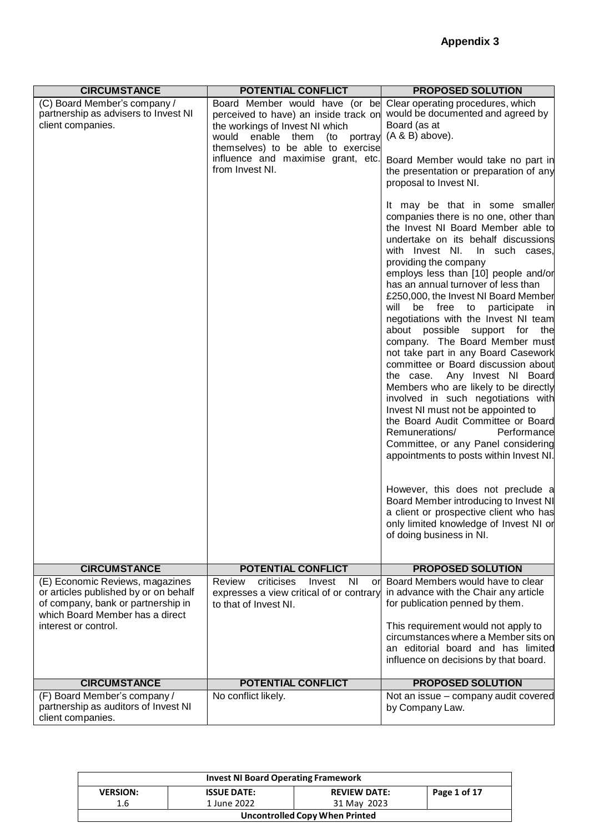| <b>CIRCUMSTANCE</b>                                                                                                                                                       | <b>POTENTIAL CONFLICT</b>                                                                                                                                                                                                                     | <b>PROPOSED SOLUTION</b>                                                                                                                                                                                                                                                                                                                                                                                                                                                                                                                                                                                                                                                                                                                                                                                                                                                                                                                                                                                                                                                                                                                                                                                                                                                                                             |
|---------------------------------------------------------------------------------------------------------------------------------------------------------------------------|-----------------------------------------------------------------------------------------------------------------------------------------------------------------------------------------------------------------------------------------------|----------------------------------------------------------------------------------------------------------------------------------------------------------------------------------------------------------------------------------------------------------------------------------------------------------------------------------------------------------------------------------------------------------------------------------------------------------------------------------------------------------------------------------------------------------------------------------------------------------------------------------------------------------------------------------------------------------------------------------------------------------------------------------------------------------------------------------------------------------------------------------------------------------------------------------------------------------------------------------------------------------------------------------------------------------------------------------------------------------------------------------------------------------------------------------------------------------------------------------------------------------------------------------------------------------------------|
| (C) Board Member's company /<br>partnership as advisers to Invest NI<br>client companies.                                                                                 | Board Member would have (or be<br>perceived to have) an inside track on<br>the workings of Invest NI which<br>would enable them<br>(to portray<br>themselves) to be able to exercise<br>influence and maximise grant, etc.<br>from Invest NI. | Clear operating procedures, which<br>would be documented and agreed by<br>Board (as at<br>$(A & B)$ above).<br>Board Member would take no part in<br>the presentation or preparation of any<br>proposal to Invest NI.<br>It may be that in some smaller<br>companies there is no one, other than<br>the Invest NI Board Member able to<br>undertake on its behalf discussions<br>with Invest NI.<br>In such cases,<br>providing the company<br>employs less than [10] people and/or<br>has an annual turnover of less than<br>£250,000, the Invest NI Board Member<br>will<br>be free to participate<br>in<br>negotiations with the Invest NI team<br>about possible support for the<br>company. The Board Member must<br>not take part in any Board Casework<br>committee or Board discussion about<br>Any Invest NI Board<br>the case.<br>Members who are likely to be directly<br>involved in such negotiations with<br>Invest NI must not be appointed to<br>the Board Audit Committee or Board<br>Remunerations/<br>Performance<br>Committee, or any Panel considering<br>appointments to posts within Invest NI.<br>However, this does not preclude a<br>Board Member introducing to Invest NI<br>a client or prospective client who has<br>only limited knowledge of Invest NI or<br>of doing business in NI. |
| <b>CIRCUMSTANCE</b>                                                                                                                                                       | <b>POTENTIAL CONFLICT</b>                                                                                                                                                                                                                     | <b>PROPOSED SOLUTION</b>                                                                                                                                                                                                                                                                                                                                                                                                                                                                                                                                                                                                                                                                                                                                                                                                                                                                                                                                                                                                                                                                                                                                                                                                                                                                                             |
| (E) Economic Reviews, magazines<br>or articles published by or on behalf<br>of company, bank or partnership in<br>which Board Member has a direct<br>interest or control. | Review<br>criticises<br>Invest<br><b>NI</b><br>or<br>expresses a view critical of or contrary<br>to that of Invest NI.                                                                                                                        | Board Members would have to clear<br>in advance with the Chair any article<br>for publication penned by them.<br>This requirement would not apply to<br>circumstances where a Member sits on<br>an editorial board and has limited<br>influence on decisions by that board.                                                                                                                                                                                                                                                                                                                                                                                                                                                                                                                                                                                                                                                                                                                                                                                                                                                                                                                                                                                                                                          |
| <b>CIRCUMSTANCE</b>                                                                                                                                                       | <b>POTENTIAL CONFLICT</b>                                                                                                                                                                                                                     | <b>PROPOSED SOLUTION</b>                                                                                                                                                                                                                                                                                                                                                                                                                                                                                                                                                                                                                                                                                                                                                                                                                                                                                                                                                                                                                                                                                                                                                                                                                                                                                             |
| (F) Board Member's company /<br>partnership as auditors of Invest NI<br>client companies.                                                                                 | No conflict likely.                                                                                                                                                                                                                           | Not an issue – company audit covered<br>by Company Law.                                                                                                                                                                                                                                                                                                                                                                                                                                                                                                                                                                                                                                                                                                                                                                                                                                                                                                                                                                                                                                                                                                                                                                                                                                                              |

| <b>Invest NI Board Operating Framework</b> |                    |                     |              |  |  |
|--------------------------------------------|--------------------|---------------------|--------------|--|--|
| <b>VERSION:</b>                            | <b>ISSUE DATE:</b> | <b>REVIEW DATE:</b> | Page 1 of 17 |  |  |
| 1.6                                        | 1 June 2022        | 31 May 2023         |              |  |  |
| Uncontrolled Copy When Printed             |                    |                     |              |  |  |